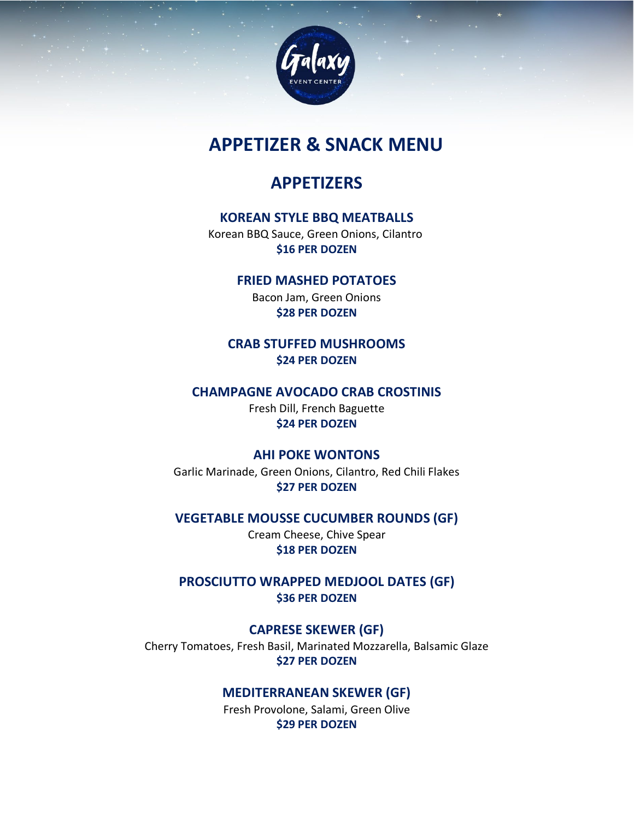

# **APPETIZER & SNACK MENU**

# **APPETIZERS**

## **KOREAN STYLE BBQ MEATBALLS**

Korean BBQ Sauce, Green Onions, Cilantro **\$16 PER DOZEN**

### **FRIED MASHED POTATOES**

Bacon Jam, Green Onions **\$28 PER DOZEN**

**CRAB STUFFED MUSHROOMS \$24 PER DOZEN**

## **CHAMPAGNE AVOCADO CRAB CROSTINIS** Fresh Dill, French Baguette

## **\$24 PER DOZEN**

## **AHI POKE WONTONS**

Garlic Marinade, Green Onions, Cilantro, Red Chili Flakes **\$27 PER DOZEN**

**VEGETABLE MOUSSE CUCUMBER ROUNDS (GF)** Cream Cheese, Chive Spear **\$18 PER DOZEN**

**PROSCIUTTO WRAPPED MEDJOOL DATES (GF) \$36 PER DOZEN**

## **CAPRESE SKEWER (GF)**

Cherry Tomatoes, Fresh Basil, Marinated Mozzarella, Balsamic Glaze **\$27 PER DOZEN**

## **MEDITERRANEAN SKEWER (GF)**

Fresh Provolone, Salami, Green Olive **\$29 PER DOZEN**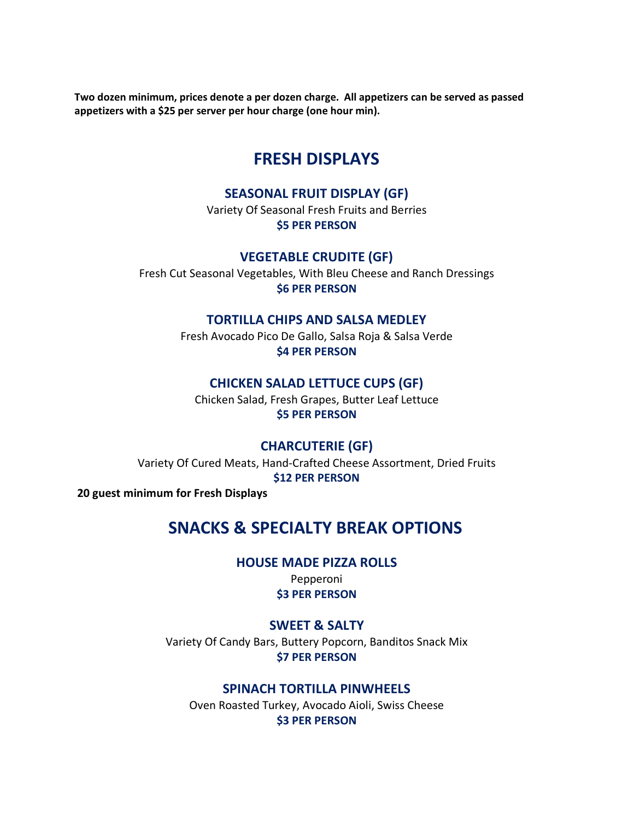**Two dozen minimum, prices denote a per dozen charge. All appetizers can be served as passed appetizers with a \$25 per server per hour charge (one hour min).** 

## **FRESH DISPLAYS**

#### **SEASONAL FRUIT DISPLAY (GF)**

Variety Of Seasonal Fresh Fruits and Berries **\$5 PER PERSON**

**VEGETABLE CRUDITE (GF)**

Fresh Cut Seasonal Vegetables, With Bleu Cheese and Ranch Dressings **\$6 PER PERSON**

#### **TORTILLA CHIPS AND SALSA MEDLEY**

Fresh Avocado Pico De Gallo, Salsa Roja & Salsa Verde **\$4 PER PERSON**

#### **CHICKEN SALAD LETTUCE CUPS (GF)**

Chicken Salad, Fresh Grapes, Butter Leaf Lettuce **\$5 PER PERSON**

### **CHARCUTERIE (GF)**

Variety Of Cured Meats, Hand-Crafted Cheese Assortment, Dried Fruits **\$12 PER PERSON**

**20 guest minimum for Fresh Displays**

## **SNACKS & SPECIALTY BREAK OPTIONS**

**HOUSE MADE PIZZA ROLLS**

Pepperoni **\$3 PER PERSON**

#### **SWEET & SALTY**

Variety Of Candy Bars, Buttery Popcorn, Banditos Snack Mix **\$7 PER PERSON**

#### **SPINACH TORTILLA PINWHEELS**

Oven Roasted Turkey, Avocado Aioli, Swiss Cheese **\$3 PER PERSON**